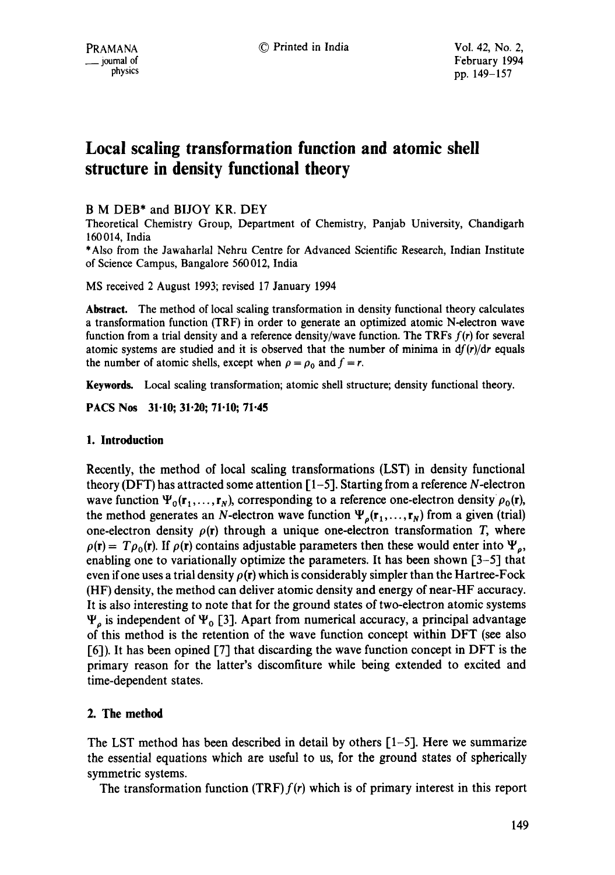# **Local scaling transformation function and atomic shell structure in density functional theory**

# B M DEB\* and BIJOY KR. DEY

Theoretical Chemistry Group, Department of Chemistry, Panjab University, Chandigarh 160014, India

\*Also from the Jawaharlal Nehru Centre for Advanced Scientific Research, Indian Institute of Science Campus, Bangalore 560012, India

MS received 2 August 1993; revised 17 January 1994

**Abstract.** The method of local scaling transformation in density functional theory calculates a transformation function (TRF) in order to generate an optimized atomic N-electron wave function from a trial density and a reference density/wave function. The TRFs  $f(r)$  for several atomic systems are studied and it is observed that the number of minima in  $df(r)/dr$  equals the number of atomic shells, except when  $\rho = \rho_0$  and  $f = r$ .

Keywords. Local scaling transformation; atomic shell structure; density functional theory.

**PACS Nos 31.10; 31.20; 71.10; 71.45** 

## **1. Introduction**

Recently, the method of local scaling transformations (LST) in density functional theory (DFT) has attracted some attention  $[1-5]$ . Starting from a reference N-electron wave function  $\Psi_0(\mathbf{r}_1, \ldots, \mathbf{r}_N)$ , corresponding to a reference one-electron density  $\rho_0(\mathbf{r})$ , the method generates an N-electron wave function  $\Psi_o(\mathbf{r}_1,\ldots,\mathbf{r}_N)$  from a given (trial) one-electron density  $\rho(r)$  through a unique one-electron transformation T, where  $\rho(\mathbf{r}) = T \rho_0(\mathbf{r})$ . If  $\rho(\mathbf{r})$  contains adjustable parameters then these would enter into  $\Psi_o$ , enabling one to variationally optimize the parameters. It has been shown [3-5] that even if one uses a trial density  $\rho(r)$  which is considerably simpler than the Hartree-Fock (HF) density, the method can deliver atomic density and energy of near-HF accuracy. It is also interesting to note that for the ground states of two-electron atomic systems  $\Psi_{\rho}$  is independent of  $\Psi_{0}$  [3]. Apart from numerical accuracy, a principal advantage of this method is the retention of the wave function concept within DFT (see also [6]). It has been opined [7] that discarding the wave function concept in DFT is the primary reason for the latter's discomfiture while being extended to excited and time-dependent states.

## 2. The method

The LST method has been described in detail by others  $[1-5]$ . Here we summarize the essential equations which are useful to us, for the ground states of spherically symmetric systems.

The transformation function (TRF)  $f(r)$  which is of primary interest in this report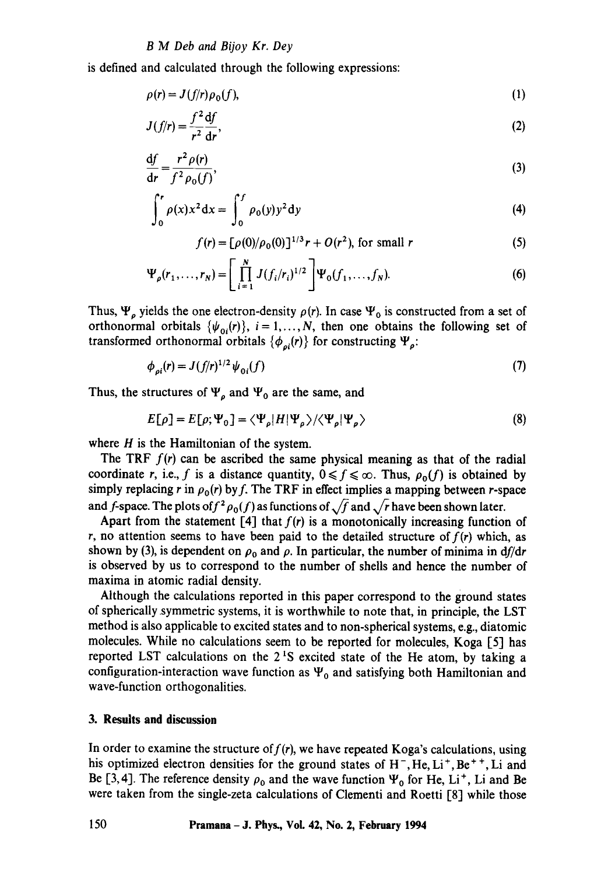#### *B M Deb and Bijoy Kr. Dey*

is defined and calculated through the following expressions:

$$
\rho(r) = J(f/r)\rho_0(f),\tag{1}
$$

$$
J(f/r) = \frac{f^2}{r^2} \frac{\mathrm{d}f}{\mathrm{d}r},\tag{2}
$$

$$
\frac{\mathrm{d}f}{\mathrm{d}r} = \frac{r^2 \rho(r)}{f^2 \rho_0(f)},\tag{3}
$$

$$
\int_0^r \rho(x) x^2 dx = \int_0^r \rho_0(y) y^2 dy
$$
 (4)

$$
f(r) = [\rho(0)/\rho_0(0)]^{1/3}r + O(r^2), \text{ for small } r
$$
 (5)

$$
\Psi_{\rho}(r_1,\ldots,r_N) = \left[\prod_{i=1}^N J(f_i/r_i)^{1/2}\right] \Psi_0(f_1,\ldots,f_N). \tag{6}
$$

Thus,  $\Psi_{\rho}$  yields the one electron-density  $\rho(r)$ . In case  $\Psi_0$  is constructed from a set of orthonormal orbitals  $\{\psi_{0i}(r)\}\,$ ,  $i = 1, ..., N$ , then one obtains the following set of transformed orthonormal orbitals  $\{\phi_{pi}(r)\}\$ for constructing  $\Psi_{\rho}$ :

$$
\phi_{oi}(r) = J(f/r)^{1/2} \psi_{oi}(f) \tag{7}
$$

Thus, the structures of  $\Psi_{\rho}$  and  $\Psi_{0}$  are the same, and

$$
E[\rho] = E[\rho; \Psi_0] = \langle \Psi_{\rho} | H | \Psi_{\rho} \rangle / \langle \Psi_{\rho} | \Psi_{\rho} \rangle
$$
 (8)

where  $H$  is the Hamiltonian of the system.

The TRF  $f(r)$  can be ascribed the same physical meaning as that of the radial coordinate r, i.e., f is a distance quantity,  $0 \le f \le \infty$ . Thus,  $\rho_0(f)$  is obtained by simply replacing r in  $\rho_0(r)$  by f. The TRF in effect implies a mapping between r-space and f-space. The plots of  $f^2 \rho_0(f)$  as functions of  $\sqrt{f}$  and  $\sqrt{r}$  have been shown later.

Apart from the statement  $[4]$  that  $f(r)$  is a monotonically increasing function of r, no attention seems to have been paid to the detailed structure of  $f(r)$  which, as shown by (3), is dependent on  $\rho_0$  and  $\rho$ . In particular, the number of minima in  $df/dr$ is observed by us to correspond to the number of shells and hence the number of maxima in atomic radial density.

Although the calculations reported in this paper correspond to the ground states of spherically symmetric systems, it is worthwhile to note that, in principle, the LST method is also applicable to excited states and to non-spherical systems, e.g., diatomic molecules. While no calculations seem to be reported for molecules, Koga [5] has reported LST calculations on the  $2<sup>1</sup>S$  excited state of the He atom, by taking a configuration-interaction wave function as  $\Psi_0$  and satisfying both Hamiltonian and wave-function orthogonalities.

#### **3. Results and discussion**

In order to examine the structure of  $f(r)$ , we have repeated Koga's calculations, using his optimized electron densities for the ground states of  $H^-$ , He, Li<sup>+</sup>, Be<sup>++</sup>, Li and Be [3,4]. The reference density  $\rho_0$  and the wave function  $\Psi_0$  for He, Li<sup>+</sup>, Li and Be were taken from the single-zeta calculations of Clementi and Roetti [8] while those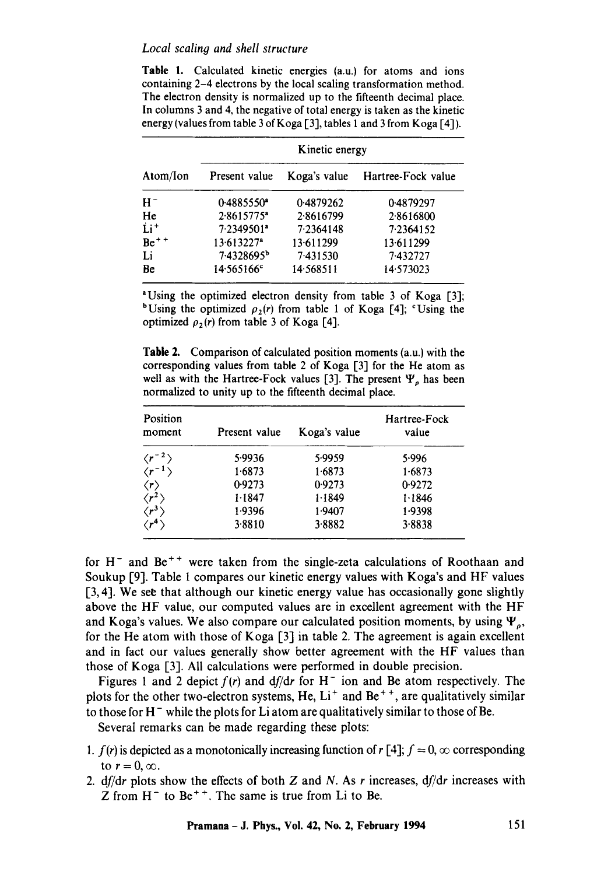#### *Local scaling and shell structure*

Table 1. Calculated kinetic energies (a.u.) for atoms and ions containing 2-4 electrons by the local scaling transformation method. The electron density is normalized up to the fifteenth decimal place. In columns 3 and 4, the negative of total energy is taken as the kinetic energy (values from table 3 of Koga [3], tables 1 and 3 from Koga [4]).

| Atom/Ion | Kinetic energy           |              |                    |  |
|----------|--------------------------|--------------|--------------------|--|
|          | Present value            | Koga's value | Hartree-Fock value |  |
| $H^-$    | $0.4885550$ <sup>a</sup> | 0.4879262    | 0.4879297          |  |
| He       | $2.8615775^*$            | 2.8616799    | 2.8616800          |  |
| $Li+$    | $7.2349501$ <sup>*</sup> | 7.2364148    | 7.2364152          |  |
| $Be++$   | $13.613227$ <sup>a</sup> | 13.611299    | 13.611299          |  |
| Li       | 7.4328695 <sup>b</sup>   | 7.431530     | 7.432727           |  |
| Be       | $14.565166^c$            | 14 5 68 511  | 14.573023          |  |

<sup>a</sup> Using the optimized electron density from table 3 of Koga [3]; <sup>b</sup>Using the optimized  $\rho_2(r)$  from table 1 of Koga [4]; <sup>c</sup>Using the optimized  $\rho_2(r)$  from table 3 of Koga [4].

Table 2. Comparison of calculated position moments (a.u.) with the corresponding values from table 2 of Koga [3] for the He atom as well as with the Hartree-Fock values [3]. The present  $\Psi$ <sub>o</sub> has been normalized to unity up to the fifteenth decimal place.

| Position<br>moment       | Present value | Koga's value | Hartree-Fock<br>value |
|--------------------------|---------------|--------------|-----------------------|
| $\langle r^{-2} \rangle$ | 5.9936        | 5.9959       | 5.996                 |
| $\langle r^{-1} \rangle$ | 1.6873        | 1.6873       | 1.6873                |
| $\langle r \rangle$      | 0.9273        | 0.9273       | 0.9272                |
| $\langle r^2\rangle$     | 1.1847        | 1.1849       | 1.1846                |
| $\langle r^3 \rangle$    | 1.9396        | 1.9407       | 1.9398                |
| $\langle r^4\rangle$     | 3.8810        | 3.8882       | 3.8838                |
|                          |               |              |                       |

for  $H^-$  and  $Be^{++}$  were taken from the single-zeta calculations of Roothaan and Soukup [9]. Table 1 compares our kinetic energy values with Koga's and HF values [3, 4]. We see that although our kinetic energy value has occasionally gone slightly above the HF value, our computed values are in excellent agreement with the HF and Koga's values. We also compare our calculated position moments, by using  $\Psi_o$ , for the He atom with those of Koga  $\lceil 3 \rceil$  in table 2. The agreement is again excellent and in fact our values generally show better agreement with the HF values than those of Koga [3]. All calculations were performed in double precision.

Figures 1 and 2 depict  $f(r)$  and  $df/dr$  for  $H^-$  ion and Be atom respectively. The plots for the other two-electron systems, He,  $Li<sup>+</sup>$  and Be<sup>++</sup>, are qualitatively similar to those for  $H^-$  while the plots for Li atom are qualitatively similar to those of Be.

Several remarks can be made regarding these plots:

- *1. f(r)* is depicted as a monotonically increasing function of  $r \lceil 4 \rceil$ ;  $f = 0$ ,  $\infty$  corresponding to  $r = 0, \infty$ .
- *2. df/dr* plots show the effects of both Z and N. As r increases, *df/dr* increases with Z from  $H^-$  to Be<sup>++</sup>. The same is true from Li to Be.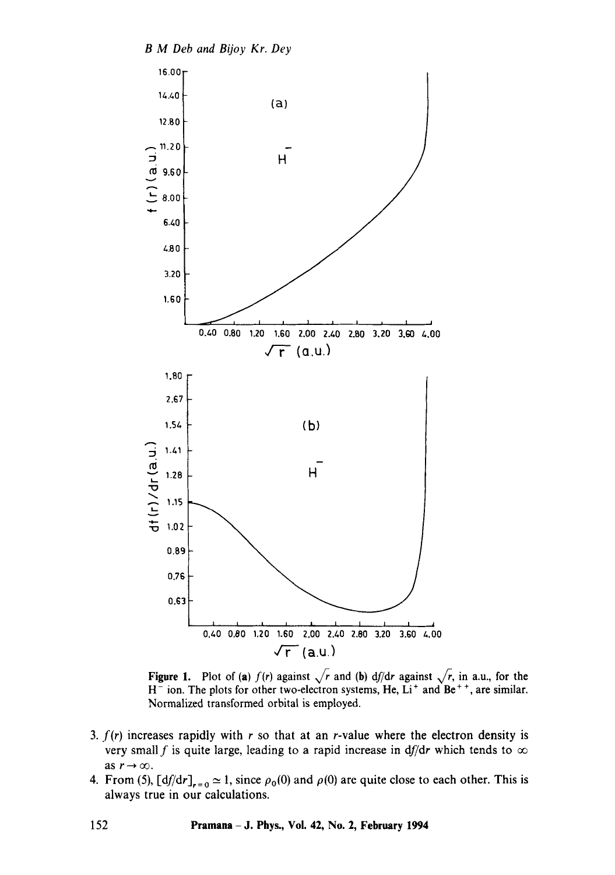

**Figure 1.** Plot of (a)  $f(r)$  against  $\sqrt{r}$  and (b) *df/dr* against  $\sqrt{r}$ , in a.u., for the  $H^-$  ion. The plots for other two-electron systems, He, Li<sup>+</sup> and Be<sup>++</sup>, are similar. Normalized transformed orbital is employed.

- 3.  $f(r)$  increases rapidly with r so that at an r-value where the electron density is very small f is quite large, leading to a rapid increase in df/dr which tends to  $\infty$ as  $r \rightarrow \infty$ .
- 4. From (5),  $\left[\frac{df}{dr}\right]_{r=0} \approx 1$ , since  $\rho_0(0)$  and  $\rho(0)$  are quite close to each other. This is always true in our calculations.

**152 Pramana - J. Phys., Vol. 42, No. 2, February 1994**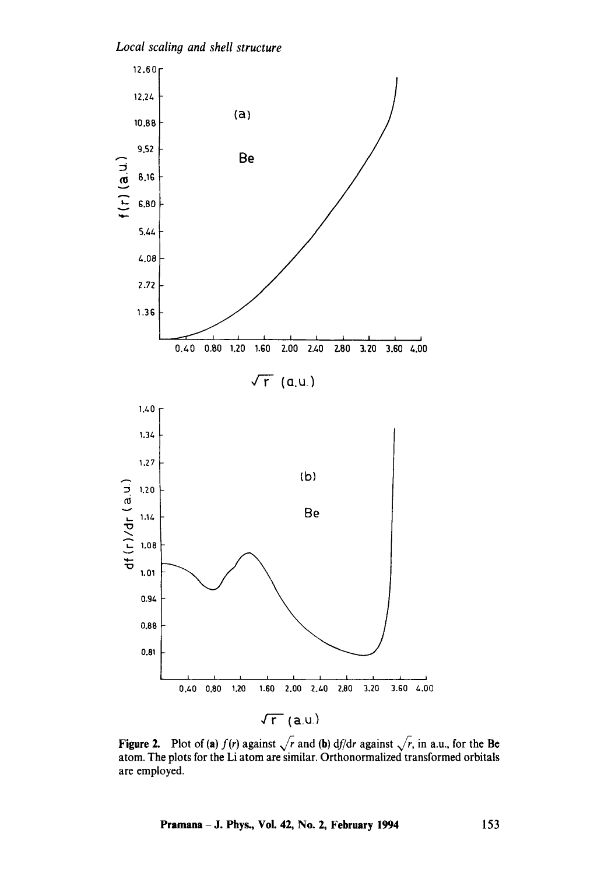



**Figure 2.** Plot of (a)  $f(r)$  against  $\sqrt{r}$  and (b) *df*/*dr* against  $\sqrt{r}$ , in a.u., for the Be atom. The plots for the Li atom are similar. Orthonormalized transformed orbitals are employed.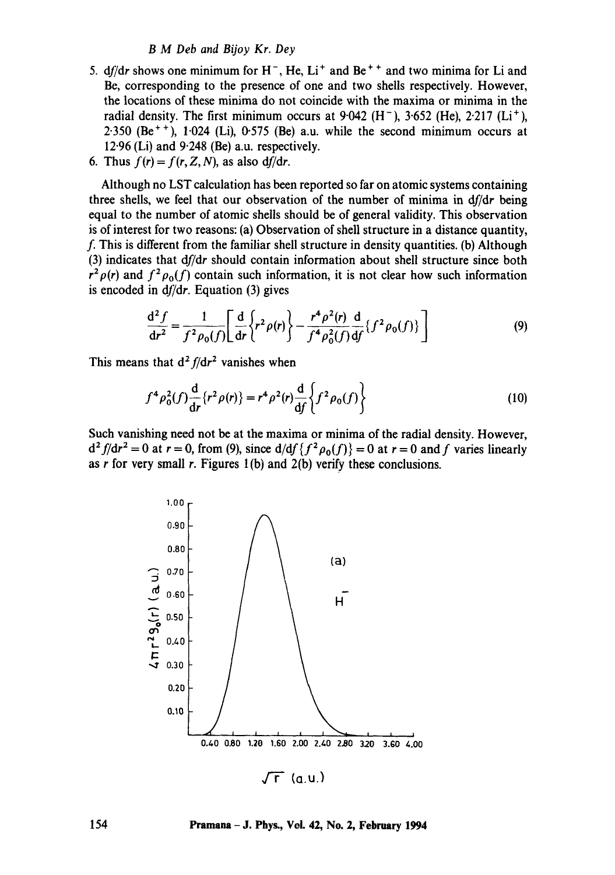#### *B M Deb and Bijoy Kr. Dey*

- 5.  $df/dr$  shows one minimum for  $H^-$ ,  $He$ ,  $Li^+$  and  $Be^{++}$  and two minima for Li and Be, corresponding to the presence of one and two shells respectively. However, the locations of these minima do not coincide with the maxima or minima in the radial density. The first minimum occurs at 9.042 (H<sup>-</sup>), 3.652 (He), 2.217 (Li<sup>+</sup>),  $2.350$  (Be<sup>++</sup>),  $1.024$  (Li),  $0.575$  (Be) a.u. while the second minimum occurs at  $12.96$  (Li) and  $9.248$  (Be) a.u. respectively.
- 6. Thus  $f(r) = f(r, Z, N)$ , as also  $df/dr$ .

Although no LST calculation has been reported so far on atomic systems containing three shells, we feel that our observation of the number of minima in *df/dr* being equal to the number of atomic shells should be of general validity. This observation is of interest for two reasons: (a) Observation of shell structure in a distance quantity, f. This is different from the familiar shell structure in density quantities. (b) Although (3) indicates that *df/dr* should contain information about shell structure since both  $r^2 \rho(r)$  and  $f^2 \rho_0(f)$  contain such information, it is not clear how such information is encoded in  $df/dr$ . Equation (3) gives

$$
\frac{d^2 f}{dr^2} = \frac{1}{f^2 \rho_0(f)} \left[ \frac{d}{dr} \left\{ r^2 \rho(r) \right\} - \frac{r^4 \rho^2(r)}{f^4 \rho_0^2(f)} \frac{d}{df} \left\{ f^2 \rho_0(f) \right\} \right]
$$
(9)

This means that  $d^2 f/dr^2$  vanishes when

$$
f^4 \rho_0^2(f) \frac{d}{dr} \{r^2 \rho(r)\} = r^4 \rho^2(r) \frac{d}{df} \left\{ f^2 \rho_0(f) \right\} \tag{10}
$$

Such vanishing need not be at the maxima or minima of the radial density. However,  $d^2 f/dr^2 = 0$  at  $r = 0$ , from (9), since  $d/df\{f^2 \rho_0(f)\} = 0$  at  $r = 0$  and f varies linearly as  $r$  for very small  $r$ . Figures 1(b) and 2(b) verify these conclusions.



**154 Pramana- J. Phys., Voi. 42, No. 2, February 1994**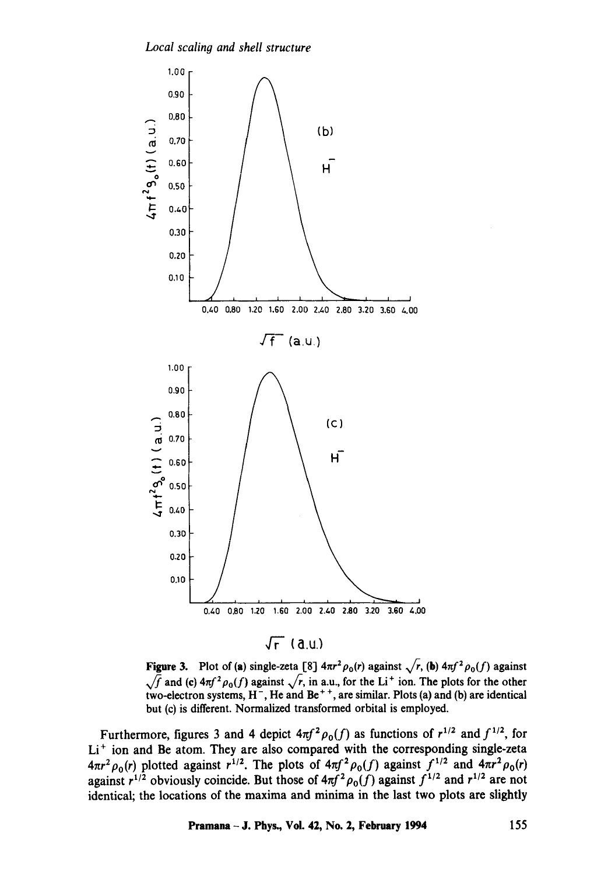

**Figure 3.** Plot of (a) single-zeta [8]  $4\pi r^2 \rho_0(r)$  against  $\sqrt{r}$ , (b)  $4\pi f^2 \rho_0(f)$  against  $\sqrt{f}$  and (c)  $4\pi f^2 \rho_0(f)$  against  $\sqrt{r}$ , in a.u., for the Li<sup>+</sup> ion. The plots for the other **two-electron systems,** H-, He **and Be** + +, **are similar. Plots (a) and (b) are identical but (c) is different. Normalized transformed orbital is employed.** 

Furthermore, figures 3 and 4 depict  $4\pi f^2 \rho_0(f)$  as functions of  $r^{1/2}$  and  $f^{1/2}$ , for Li<sup>+</sup> ion and Be atom. They are also compared with the corresponding single-zeta  $4\pi r^2 \rho_0(r)$  plotted against  $r^{1/2}$ . The plots of  $4\pi f^2 \rho_0(f)$  against  $f^{1/2}$  and  $4\pi r^2 \rho_0(r)$ against  $r^{1/2}$  obviously coincide. But those of  $4\pi f^2 \rho_0(f)$  against  $f^{1/2}$  and  $r^{1/2}$  are not **identical; the locations of the maxima and minima in the last two plots are slightly**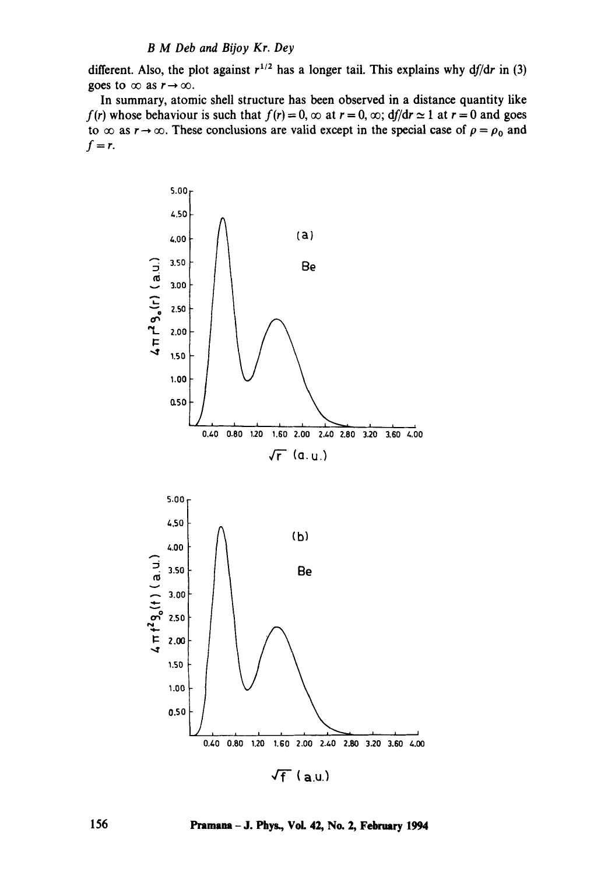## *B M Deb and Bijoy Kr. Dey*

different. Also, the plot against  $r^{1/2}$  has a longer tail. This explains why  $df/dr$  in (3) goes to  $\infty$  as  $r \to \infty$ .

In summary, atomic shell structure has been observed in a distance quantity like *f(r)* whose behaviour is such that  $f(r) = 0$ ,  $\infty$  at  $r = 0$ ,  $\infty$ ;  $df/dr \approx 1$  at  $r = 0$  and goes to  $\infty$  as  $r \to \infty$ . These conclusions are valid except in the special case of  $\rho = \rho_0$  and  $f=r$ .



156 **Pramana - J. Phys., Vol. 42, No. 2, February 1994**